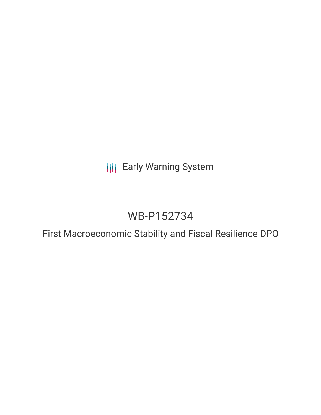**III** Early Warning System

# WB-P152734

First Macroeconomic Stability and Fiscal Resilience DPO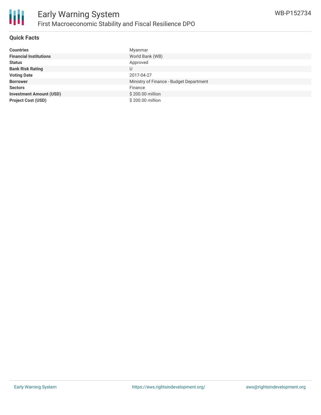

### **Quick Facts**

| <b>Countries</b>               | Myanmar                                 |
|--------------------------------|-----------------------------------------|
| <b>Financial Institutions</b>  | World Bank (WB)                         |
| <b>Status</b>                  | Approved                                |
| <b>Bank Risk Rating</b>        | U                                       |
| <b>Voting Date</b>             | 2017-04-27                              |
| <b>Borrower</b>                | Ministry of Finance - Budget Department |
| <b>Sectors</b>                 | Finance                                 |
| <b>Investment Amount (USD)</b> | \$200.00 million                        |
| <b>Project Cost (USD)</b>      | \$200.00 million                        |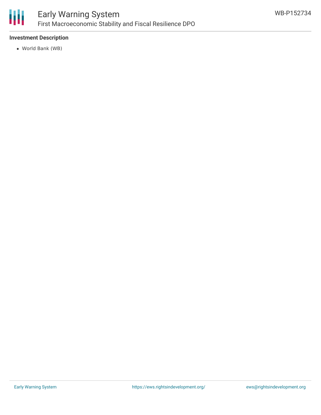

# **Investment Description**

World Bank (WB)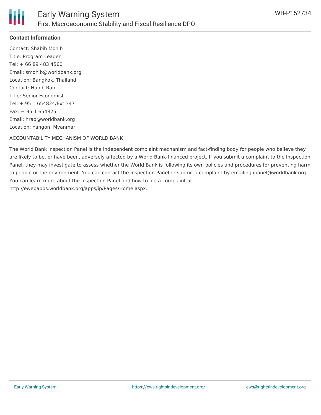

# **Contact Information**

Contact: Shabih Mohib Title: Program Leader Tel: + 66 89 483 4560 Email: smohib@worldbank.org Location: Bangkok, Thailand Contact: Habib Rab Title: Senior Economist Tel: + 95 1 654824/Ext 347 Fax: + 95 1 654825 Email: hrab@worldbank.org Location: Yangon, Myanmar

### ACCOUNTABILITY MECHANISM OF WORLD BANK

The World Bank Inspection Panel is the independent complaint mechanism and fact-finding body for people who believe they are likely to be, or have been, adversely affected by a World Bank-financed project. If you submit a complaint to the Inspection Panel, they may investigate to assess whether the World Bank is following its own policies and procedures for preventing harm to people or the environment. You can contact the Inspection Panel or submit a complaint by emailing ipanel@worldbank.org. You can learn more about the Inspection Panel and how to file a complaint at: http://ewebapps.worldbank.org/apps/ip/Pages/Home.aspx.